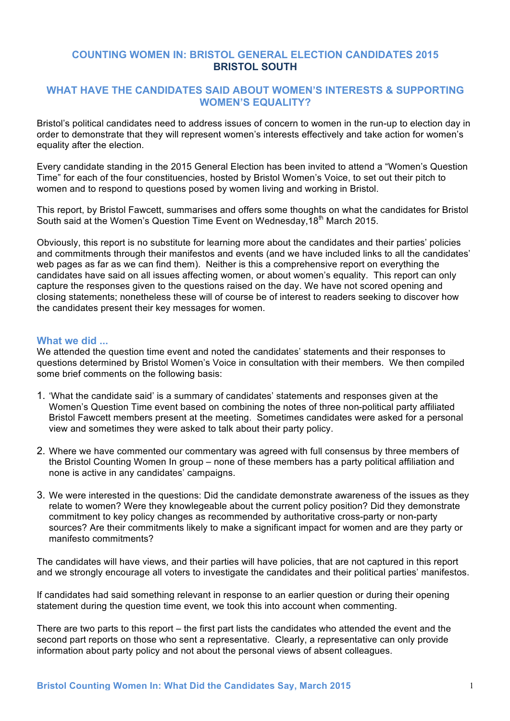### **COUNTING WOMEN IN: BRISTOL GENERAL ELECTION CANDIDATES 2015 BRISTOL SOUTH**

### **WHAT HAVE THE CANDIDATES SAID ABOUT WOMEN'S INTERESTS & SUPPORTING WOMEN'S EQUALITY?**

Bristol's political candidates need to address issues of concern to women in the run-up to election day in order to demonstrate that they will represent women's interests effectively and take action for women's equality after the election.

Every candidate standing in the 2015 General Election has been invited to attend a "Women's Question Time" for each of the four constituencies, hosted by Bristol Women's Voice, to set out their pitch to women and to respond to questions posed by women living and working in Bristol.

This report, by Bristol Fawcett, summarises and offers some thoughts on what the candidates for Bristol South said at the Women's Question Time Event on Wednesday, 18<sup>th</sup> March 2015.

Obviously, this report is no substitute for learning more about the candidates and their parties' policies and commitments through their manifestos and events (and we have included links to all the candidates' web pages as far as we can find them). Neither is this a comprehensive report on everything the candidates have said on all issues affecting women, or about women's equality. This report can only capture the responses given to the questions raised on the day. We have not scored opening and closing statements; nonetheless these will of course be of interest to readers seeking to discover how the candidates present their key messages for women.

#### **What we did ...**

We attended the question time event and noted the candidates' statements and their responses to questions determined by Bristol Women's Voice in consultation with their members. We then compiled some brief comments on the following basis:

- 1. 'What the candidate said' is a summary of candidates' statements and responses given at the Women's Question Time event based on combining the notes of three non-political party affiliated Bristol Fawcett members present at the meeting. Sometimes candidates were asked for a personal view and sometimes they were asked to talk about their party policy.
- 2. Where we have commented our commentary was agreed with full consensus by three members of the Bristol Counting Women In group – none of these members has a party political affiliation and none is active in any candidates' campaigns.
- 3. We were interested in the questions: Did the candidate demonstrate awareness of the issues as they relate to women? Were they knowlegeable about the current policy position? Did they demonstrate commitment to key policy changes as recommended by authoritative cross-party or non-party sources? Are their commitments likely to make a significant impact for women and are they party or manifesto commitments?

The candidates will have views, and their parties will have policies, that are not captured in this report and we strongly encourage all voters to investigate the candidates and their political parties' manifestos.

If candidates had said something relevant in response to an earlier question or during their opening statement during the question time event, we took this into account when commenting.

There are two parts to this report – the first part lists the candidates who attended the event and the second part reports on those who sent a representative. Clearly, a representative can only provide information about party policy and not about the personal views of absent colleagues.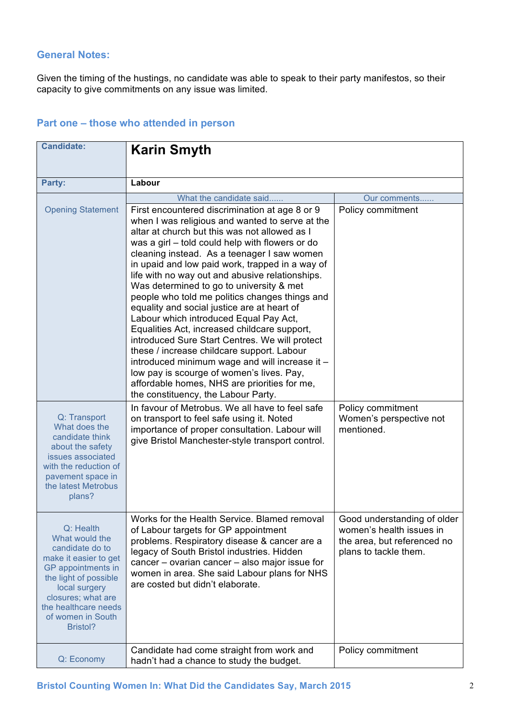## **General Notes:**

Given the timing of the hustings, no candidate was able to speak to their party manifestos, so their capacity to give commitments on any issue was limited.

# **Part one – those who attended in person**

| <b>Candidate:</b>                                                                                                                                                                                                             | <b>Karin Smyth</b>                                                                                                                                                                                                                                                                                                                                                                                                                                                                                                                                                                                                                                                                                                                                                                                                                                                                      |                                                                                                                 |
|-------------------------------------------------------------------------------------------------------------------------------------------------------------------------------------------------------------------------------|-----------------------------------------------------------------------------------------------------------------------------------------------------------------------------------------------------------------------------------------------------------------------------------------------------------------------------------------------------------------------------------------------------------------------------------------------------------------------------------------------------------------------------------------------------------------------------------------------------------------------------------------------------------------------------------------------------------------------------------------------------------------------------------------------------------------------------------------------------------------------------------------|-----------------------------------------------------------------------------------------------------------------|
| Party:                                                                                                                                                                                                                        | Labour                                                                                                                                                                                                                                                                                                                                                                                                                                                                                                                                                                                                                                                                                                                                                                                                                                                                                  |                                                                                                                 |
|                                                                                                                                                                                                                               | What the candidate said                                                                                                                                                                                                                                                                                                                                                                                                                                                                                                                                                                                                                                                                                                                                                                                                                                                                 | Our comments                                                                                                    |
| <b>Opening Statement</b>                                                                                                                                                                                                      | First encountered discrimination at age 8 or 9<br>when I was religious and wanted to serve at the<br>altar at church but this was not allowed as I<br>was a girl – told could help with flowers or do<br>cleaning instead. As a teenager I saw women<br>in upaid and low paid work, trapped in a way of<br>life with no way out and abusive relationships.<br>Was determined to go to university & met<br>people who told me politics changes things and<br>equality and social justice are at heart of<br>Labour which introduced Equal Pay Act,<br>Equalities Act, increased childcare support,<br>introduced Sure Start Centres. We will protect<br>these / increase childcare support. Labour<br>introduced minimum wage and will increase it -<br>low pay is scourge of women's lives. Pay,<br>affordable homes, NHS are priorities for me,<br>the constituency, the Labour Party. | Policy commitment                                                                                               |
| Q: Transport<br>What does the<br>candidate think<br>about the safety<br>issues associated<br>with the reduction of<br>pavement space in<br>the latest Metrobus<br>plans?                                                      | In favour of Metrobus. We all have to feel safe<br>on transport to feel safe using it. Noted<br>importance of proper consultation. Labour will<br>give Bristol Manchester-style transport control.                                                                                                                                                                                                                                                                                                                                                                                                                                                                                                                                                                                                                                                                                      | Policy commitment<br>Women's perspective not<br>mentioned.                                                      |
| Q: Health<br>What would the<br>candidate do to<br>make it easier to get<br>GP appointments in<br>the light of possible<br>local surgery<br>closures; what are<br>the healthcare needs<br>of women in South<br><b>Bristol?</b> | Works for the Health Service. Blamed removal<br>of Labour targets for GP appointment<br>problems. Respiratory disease & cancer are a<br>legacy of South Bristol industries. Hidden<br>cancer – ovarian cancer – also major issue for<br>women in area. She said Labour plans for NHS<br>are costed but didn't elaborate.                                                                                                                                                                                                                                                                                                                                                                                                                                                                                                                                                                | Good understanding of older<br>women's health issues in<br>the area, but referenced no<br>plans to tackle them. |
| Q: Economy                                                                                                                                                                                                                    | Candidate had come straight from work and<br>hadn't had a chance to study the budget.                                                                                                                                                                                                                                                                                                                                                                                                                                                                                                                                                                                                                                                                                                                                                                                                   | Policy commitment                                                                                               |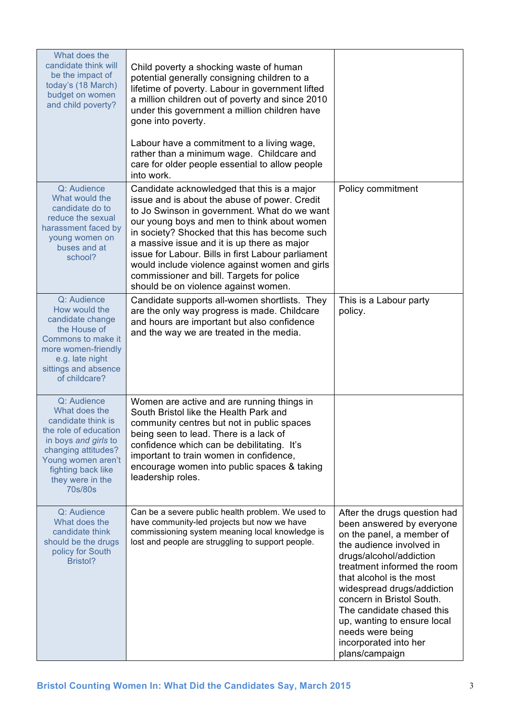| What does the<br>candidate think will<br>be the impact of<br>today's (18 March)<br>budget on women<br>and child poverty?                                                                              | Child poverty a shocking waste of human<br>potential generally consigning children to a<br>lifetime of poverty. Labour in government lifted<br>a million children out of poverty and since 2010<br>under this government a million children have<br>gone into poverty.<br>Labour have a commitment to a living wage,<br>rather than a minimum wage. Childcare and<br>care for older people essential to allow people<br>into work.                                                       |                                                                                                                                                                                                                                                                                                                                                                                                |
|-------------------------------------------------------------------------------------------------------------------------------------------------------------------------------------------------------|------------------------------------------------------------------------------------------------------------------------------------------------------------------------------------------------------------------------------------------------------------------------------------------------------------------------------------------------------------------------------------------------------------------------------------------------------------------------------------------|------------------------------------------------------------------------------------------------------------------------------------------------------------------------------------------------------------------------------------------------------------------------------------------------------------------------------------------------------------------------------------------------|
| Q: Audience<br>What would the<br>candidate do to<br>reduce the sexual<br>harassment faced by<br>young women on<br>buses and at<br>school?                                                             | Candidate acknowledged that this is a major<br>issue and is about the abuse of power. Credit<br>to Jo Swinson in government. What do we want<br>our young boys and men to think about women<br>in society? Shocked that this has become such<br>a massive issue and it is up there as major<br>issue for Labour. Bills in first Labour parliament<br>would include violence against women and girls<br>commissioner and bill. Targets for police<br>should be on violence against women. | Policy commitment                                                                                                                                                                                                                                                                                                                                                                              |
| Q: Audience<br>How would the<br>candidate change<br>the House of<br>Commons to make it<br>more women-friendly<br>e.g. late night<br>sittings and absence<br>of childcare?                             | Candidate supports all-women shortlists. They<br>are the only way progress is made. Childcare<br>and hours are important but also confidence<br>and the way we are treated in the media.                                                                                                                                                                                                                                                                                                 | This is a Labour party<br>policy.                                                                                                                                                                                                                                                                                                                                                              |
| Q: Audience<br>What does the<br>candidate think is<br>the role of education<br>in boys and girls to<br>changing attitudes?<br>Young women aren't<br>fighting back like<br>they were in the<br>70s/80s | Women are active and are running things in<br>South Bristol like the Health Park and<br>community centres but not in public spaces<br>being seen to lead. There is a lack of<br>confidence which can be debilitating. It's<br>important to train women in confidence,<br>encourage women into public spaces & taking<br>leadership roles.                                                                                                                                                |                                                                                                                                                                                                                                                                                                                                                                                                |
| Q: Audience<br>What does the<br>candidate think<br>should be the drugs<br>policy for South<br><b>Bristol?</b>                                                                                         | Can be a severe public health problem. We used to<br>have community-led projects but now we have<br>commissioning system meaning local knowledge is<br>lost and people are struggling to support people.                                                                                                                                                                                                                                                                                 | After the drugs question had<br>been answered by everyone<br>on the panel, a member of<br>the audience involved in<br>drugs/alcohol/addiction<br>treatment informed the room<br>that alcohol is the most<br>widespread drugs/addiction<br>concern in Bristol South.<br>The candidate chased this<br>up, wanting to ensure local<br>needs were being<br>incorporated into her<br>plans/campaign |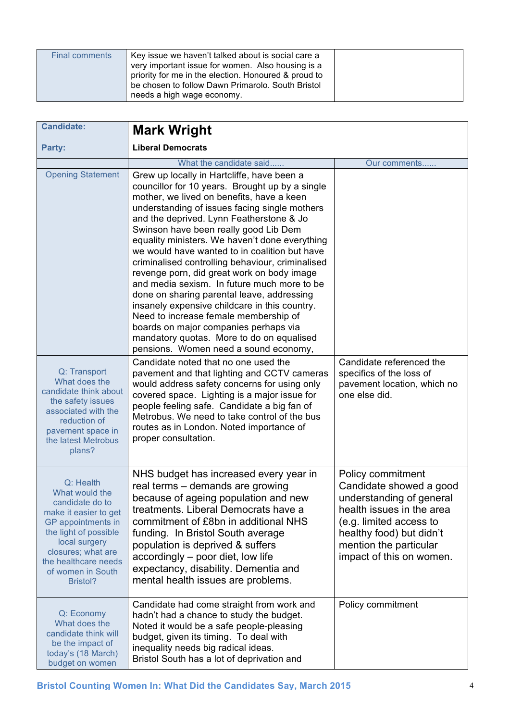| <b>Final comments</b> | Key issue we haven't talked about is social care a<br>very important issue for women. Also housing is a<br>priority for me in the election. Honoured & proud to<br>be chosen to follow Dawn Primarolo. South Bristol |  |
|-----------------------|----------------------------------------------------------------------------------------------------------------------------------------------------------------------------------------------------------------------|--|
|                       | needs a high wage economy.                                                                                                                                                                                           |  |

| <b>Candidate:</b>                                                                                                                                                                                                             | <b>Mark Wright</b>                                                                                                                                                                                                                                                                                                                                                                                                                                                                                                                                                                                                                                                                                                                                                                                          |                                                                                                                                                                                                                    |
|-------------------------------------------------------------------------------------------------------------------------------------------------------------------------------------------------------------------------------|-------------------------------------------------------------------------------------------------------------------------------------------------------------------------------------------------------------------------------------------------------------------------------------------------------------------------------------------------------------------------------------------------------------------------------------------------------------------------------------------------------------------------------------------------------------------------------------------------------------------------------------------------------------------------------------------------------------------------------------------------------------------------------------------------------------|--------------------------------------------------------------------------------------------------------------------------------------------------------------------------------------------------------------------|
| Party:                                                                                                                                                                                                                        | <b>Liberal Democrats</b>                                                                                                                                                                                                                                                                                                                                                                                                                                                                                                                                                                                                                                                                                                                                                                                    |                                                                                                                                                                                                                    |
|                                                                                                                                                                                                                               | What the candidate said                                                                                                                                                                                                                                                                                                                                                                                                                                                                                                                                                                                                                                                                                                                                                                                     | Our comments                                                                                                                                                                                                       |
| <b>Opening Statement</b>                                                                                                                                                                                                      | Grew up locally in Hartcliffe, have been a<br>councillor for 10 years. Brought up by a single<br>mother, we lived on benefits, have a keen<br>understanding of issues facing single mothers<br>and the deprived. Lynn Featherstone & Jo<br>Swinson have been really good Lib Dem<br>equality ministers. We haven't done everything<br>we would have wanted to in coalition but have<br>criminalised controlling behaviour, criminalised<br>revenge porn, did great work on body image<br>and media sexism. In future much more to be<br>done on sharing parental leave, addressing<br>insanely expensive childcare in this country.<br>Need to increase female membership of<br>boards on major companies perhaps via<br>mandatory quotas. More to do on equalised<br>pensions. Women need a sound economy, |                                                                                                                                                                                                                    |
| Q: Transport<br>What does the<br>candidate think about<br>the safety issues<br>associated with the<br>reduction of<br>pavement space in<br>the latest Metrobus<br>plans?                                                      | Candidate noted that no one used the<br>pavement and that lighting and CCTV cameras<br>would address safety concerns for using only<br>covered space. Lighting is a major issue for<br>people feeling safe. Candidate a big fan of<br>Metrobus. We need to take control of the bus<br>routes as in London. Noted importance of<br>proper consultation.                                                                                                                                                                                                                                                                                                                                                                                                                                                      | Candidate referenced the<br>specifics of the loss of<br>pavement location, which no<br>one else did.                                                                                                               |
| Q: Health<br>What would the<br>candidate do to<br>make it easier to get<br>GP appointments in<br>the light of possible<br>local surgery<br>closures; what are<br>the healthcare needs<br>of women in South<br><b>Bristol?</b> | NHS budget has increased every year in<br>real terms - demands are growing<br>because of ageing population and new<br>treatments. Liberal Democrats have a<br>commitment of £8bn in additional NHS<br>funding. In Bristol South average<br>population is deprived & suffers<br>accordingly – poor diet, low life<br>expectancy, disability. Dementia and<br>mental health issues are problems.                                                                                                                                                                                                                                                                                                                                                                                                              | Policy commitment<br>Candidate showed a good<br>understanding of general<br>health issues in the area<br>(e.g. limited access to<br>healthy food) but didn't<br>mention the particular<br>impact of this on women. |
| Q: Economy<br>What does the<br>candidate think will<br>be the impact of<br>today's (18 March)<br>budget on women                                                                                                              | Candidate had come straight from work and<br>hadn't had a chance to study the budget.<br>Noted it would be a safe people-pleasing<br>budget, given its timing. To deal with<br>inequality needs big radical ideas.<br>Bristol South has a lot of deprivation and                                                                                                                                                                                                                                                                                                                                                                                                                                                                                                                                            | Policy commitment                                                                                                                                                                                                  |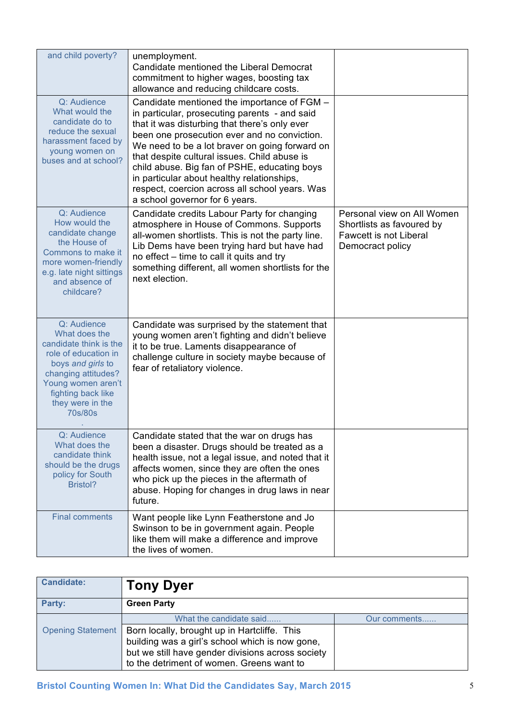| and child poverty?                                                                                                                                                                                    | unemployment.<br>Candidate mentioned the Liberal Democrat<br>commitment to higher wages, boosting tax<br>allowance and reducing childcare costs.                                                                                                                                                                                                                                                                                                                                  |                                                                                                              |
|-------------------------------------------------------------------------------------------------------------------------------------------------------------------------------------------------------|-----------------------------------------------------------------------------------------------------------------------------------------------------------------------------------------------------------------------------------------------------------------------------------------------------------------------------------------------------------------------------------------------------------------------------------------------------------------------------------|--------------------------------------------------------------------------------------------------------------|
| Q: Audience<br>What would the<br>candidate do to<br>reduce the sexual<br>harassment faced by<br>young women on<br>buses and at school?                                                                | Candidate mentioned the importance of FGM -<br>in particular, prosecuting parents - and said<br>that it was disturbing that there's only ever<br>been one prosecution ever and no conviction.<br>We need to be a lot braver on going forward on<br>that despite cultural issues. Child abuse is<br>child abuse. Big fan of PSHE, educating boys<br>in particular about healthy relationships,<br>respect, coercion across all school years. Was<br>a school governor for 6 years. |                                                                                                              |
| Q: Audience<br>How would the<br>candidate change<br>the House of<br>Commons to make it<br>more women-friendly<br>e.g. late night sittings<br>and absence of<br>childcare?                             | Candidate credits Labour Party for changing<br>atmosphere in House of Commons. Supports<br>all-women shortlists. This is not the party line.<br>Lib Dems have been trying hard but have had<br>no effect – time to call it quits and try<br>something different, all women shortlists for the<br>next election.                                                                                                                                                                   | Personal view on All Women<br>Shortlists as favoured by<br><b>Fawcett is not Liberal</b><br>Democract policy |
| Q: Audience<br>What does the<br>candidate think is the<br>role of education in<br>boys and girls to<br>changing attitudes?<br>Young women aren't<br>fighting back like<br>they were in the<br>70s/80s | Candidate was surprised by the statement that<br>young women aren't fighting and didn't believe<br>it to be true. Laments disappearance of<br>challenge culture in society maybe because of<br>fear of retaliatory violence.                                                                                                                                                                                                                                                      |                                                                                                              |
| Q: Audience<br>What does the<br>candidate think<br>should be the drugs<br>policy for South<br><b>Bristol?</b>                                                                                         | Candidate stated that the war on drugs has<br>been a disaster. Drugs should be treated as a<br>health issue, not a legal issue, and noted that it<br>affects women, since they are often the ones<br>who pick up the pieces in the aftermath of<br>abuse. Hoping for changes in drug laws in near<br>future.                                                                                                                                                                      |                                                                                                              |
| <b>Final comments</b>                                                                                                                                                                                 | Want people like Lynn Featherstone and Jo<br>Swinson to be in government again. People<br>like them will make a difference and improve<br>the lives of women.                                                                                                                                                                                                                                                                                                                     |                                                                                                              |

| <b>Candidate:</b>        | <b>Tony Dyer</b>                                                                                                                                                                                  |              |
|--------------------------|---------------------------------------------------------------------------------------------------------------------------------------------------------------------------------------------------|--------------|
| Party:                   | <b>Green Party</b>                                                                                                                                                                                |              |
|                          | What the candidate said                                                                                                                                                                           | Our comments |
| <b>Opening Statement</b> | Born locally, brought up in Hartcliffe. This<br>building was a girl's school which is now gone,<br>but we still have gender divisions across society<br>to the detriment of women. Greens want to |              |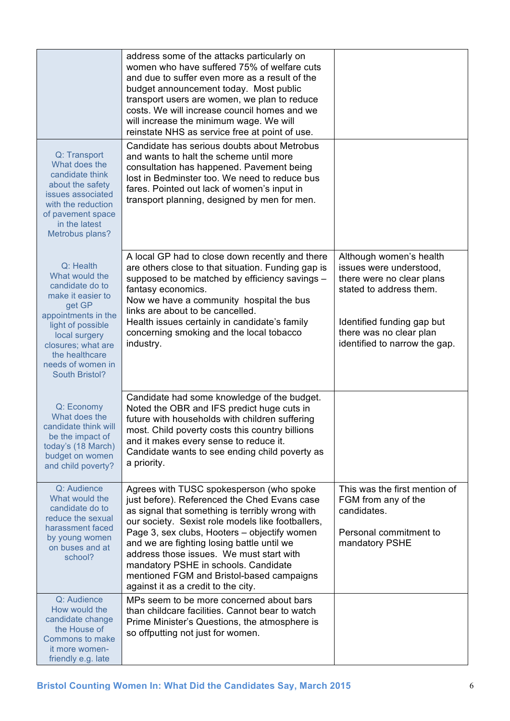| Q: Transport                                                                                                                                                                                                              | address some of the attacks particularly on<br>women who have suffered 75% of welfare cuts<br>and due to suffer even more as a result of the<br>budget announcement today. Most public<br>transport users are women, we plan to reduce<br>costs. We will increase council homes and we<br>will increase the minimum wage. We will<br>reinstate NHS as service free at point of use.<br>Candidate has serious doubts about Metrobus                                     |                                                                                                                                                                                                      |
|---------------------------------------------------------------------------------------------------------------------------------------------------------------------------------------------------------------------------|------------------------------------------------------------------------------------------------------------------------------------------------------------------------------------------------------------------------------------------------------------------------------------------------------------------------------------------------------------------------------------------------------------------------------------------------------------------------|------------------------------------------------------------------------------------------------------------------------------------------------------------------------------------------------------|
| What does the<br>candidate think<br>about the safety<br>issues associated<br>with the reduction<br>of pavement space<br>in the latest<br>Metrobus plans?                                                                  | and wants to halt the scheme until more<br>consultation has happened. Pavement being<br>lost in Bedminster too. We need to reduce bus<br>fares. Pointed out lack of women's input in<br>transport planning, designed by men for men.                                                                                                                                                                                                                                   |                                                                                                                                                                                                      |
| Q: Health<br>What would the<br>candidate do to<br>make it easier to<br>get GP<br>appointments in the<br>light of possible<br>local surgery<br>closures; what are<br>the healthcare<br>needs of women in<br>South Bristol? | A local GP had to close down recently and there<br>are others close to that situation. Funding gap is<br>supposed to be matched by efficiency savings -<br>fantasy economics.<br>Now we have a community hospital the bus<br>links are about to be cancelled.<br>Health issues certainly in candidate's family<br>concerning smoking and the local tobacco<br>industry.                                                                                                | Although women's health<br>issues were understood,<br>there were no clear plans<br>stated to address them.<br>Identified funding gap but<br>there was no clear plan<br>identified to narrow the gap. |
| Q: Economy<br>What does the<br>candidate think will<br>be the impact of<br>today's (18 March)<br>budget on women<br>and child poverty?                                                                                    | Candidate had some knowledge of the budget.<br>Noted the OBR and IFS predict huge cuts in<br>future with households with children suffering<br>most. Child poverty costs this country billions<br>and it makes every sense to reduce it.<br>Candidate wants to see ending child poverty as<br>a priority.                                                                                                                                                              |                                                                                                                                                                                                      |
| Q: Audience<br>What would the<br>candidate do to<br>reduce the sexual<br>harassment faced<br>by young women<br>on buses and at<br>school?                                                                                 | Agrees with TUSC spokesperson (who spoke<br>just before). Referenced the Ched Evans case<br>as signal that something is terribly wrong with<br>our society. Sexist role models like footballers,<br>Page 3, sex clubs, Hooters - objectify women<br>and we are fighting losing battle until we<br>address those issues. We must start with<br>mandatory PSHE in schools. Candidate<br>mentioned FGM and Bristol-based campaigns<br>against it as a credit to the city. | This was the first mention of<br>FGM from any of the<br>candidates.<br>Personal commitment to<br>mandatory PSHE                                                                                      |
| Q: Audience<br>How would the<br>candidate change<br>the House of<br>Commons to make<br>it more women-<br>friendly e.g. late                                                                                               | MPs seem to be more concerned about bars<br>than childcare facilities. Cannot bear to watch<br>Prime Minister's Questions, the atmosphere is<br>so offputting not just for women.                                                                                                                                                                                                                                                                                      |                                                                                                                                                                                                      |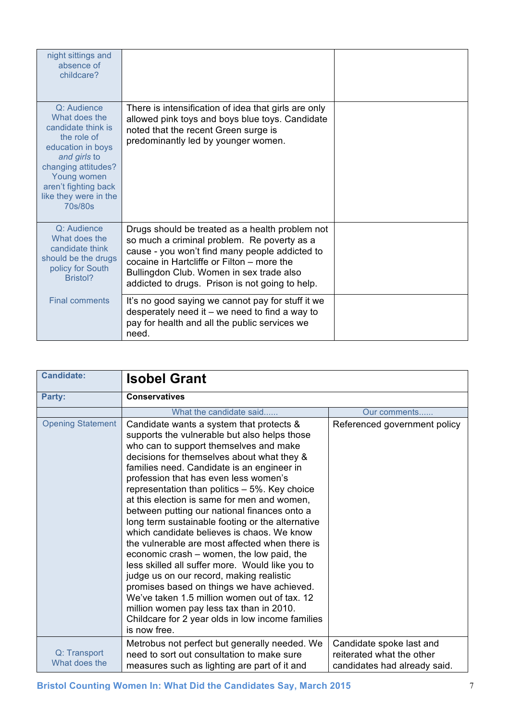| night sittings and<br>absence of<br>childcare?                                                                                                                                                           |                                                                                                                                                                                                                                                                                               |  |
|----------------------------------------------------------------------------------------------------------------------------------------------------------------------------------------------------------|-----------------------------------------------------------------------------------------------------------------------------------------------------------------------------------------------------------------------------------------------------------------------------------------------|--|
| Q: Audience<br>What does the<br>candidate think is<br>the role of<br>education in boys<br>and girls to<br>changing attitudes?<br>Young women<br>aren't fighting back<br>like they were in the<br>70s/80s | There is intensification of idea that girls are only<br>allowed pink toys and boys blue toys. Candidate<br>noted that the recent Green surge is<br>predominantly led by younger women.                                                                                                        |  |
| Q: Audience<br>What does the<br>candidate think<br>should be the drugs<br>policy for South<br>Bristol?                                                                                                   | Drugs should be treated as a health problem not<br>so much a criminal problem. Re poverty as a<br>cause - you won't find many people addicted to<br>cocaine in Hartcliffe or Filton – more the<br>Bullingdon Club. Women in sex trade also<br>addicted to drugs. Prison is not going to help. |  |
| <b>Final comments</b>                                                                                                                                                                                    | It's no good saying we cannot pay for stuff it we<br>desperately need it $-$ we need to find a way to<br>pay for health and all the public services we<br>need.                                                                                                                               |  |

| <b>Candidate:</b>             | <b>Isobel Grant</b>                                                                                                                                                                                                                                                                                                                                                                                                                                                                                                                                                                                                                                                                                                                                                                                                                                                                                                                      |                                                                                       |
|-------------------------------|------------------------------------------------------------------------------------------------------------------------------------------------------------------------------------------------------------------------------------------------------------------------------------------------------------------------------------------------------------------------------------------------------------------------------------------------------------------------------------------------------------------------------------------------------------------------------------------------------------------------------------------------------------------------------------------------------------------------------------------------------------------------------------------------------------------------------------------------------------------------------------------------------------------------------------------|---------------------------------------------------------------------------------------|
| Party:                        | <b>Conservatives</b>                                                                                                                                                                                                                                                                                                                                                                                                                                                                                                                                                                                                                                                                                                                                                                                                                                                                                                                     |                                                                                       |
|                               | What the candidate said                                                                                                                                                                                                                                                                                                                                                                                                                                                                                                                                                                                                                                                                                                                                                                                                                                                                                                                  | Our comments                                                                          |
| <b>Opening Statement</b>      | Candidate wants a system that protects &<br>supports the vulnerable but also helps those<br>who can to support themselves and make<br>decisions for themselves about what they &<br>families need. Candidate is an engineer in<br>profession that has even less women's<br>representation than politics $-5\%$ . Key choice<br>at this election is same for men and women,<br>between putting our national finances onto a<br>long term sustainable footing or the alternative<br>which candidate believes is chaos. We know<br>the vulnerable are most affected when there is<br>economic crash – women, the low paid, the<br>less skilled all suffer more. Would like you to<br>judge us on our record, making realistic<br>promises based on things we have achieved.<br>We've taken 1.5 million women out of tax. 12<br>million women pay less tax than in 2010.<br>Childcare for 2 year olds in low income families<br>is now free. | Referenced government policy                                                          |
| Q: Transport<br>What does the | Metrobus not perfect but generally needed. We<br>need to sort out consultation to make sure<br>measures such as lighting are part of it and                                                                                                                                                                                                                                                                                                                                                                                                                                                                                                                                                                                                                                                                                                                                                                                              | Candidate spoke last and<br>reiterated what the other<br>candidates had already said. |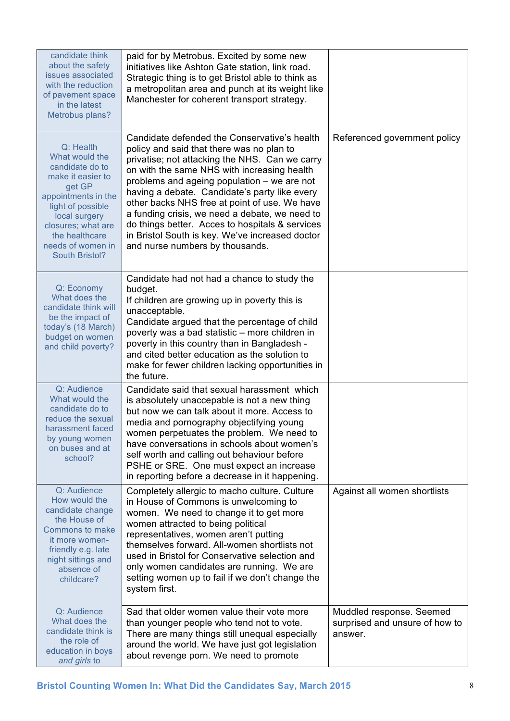| candidate think<br>about the safety<br>issues associated<br>with the reduction<br>of pavement space<br>in the latest<br>Metrobus plans?                                                                                   | paid for by Metrobus. Excited by some new<br>initiatives like Ashton Gate station, link road.<br>Strategic thing is to get Bristol able to think as<br>a metropolitan area and punch at its weight like<br>Manchester for coherent transport strategy.                                                                                                                                                                                                                                                                                 |                                                                       |
|---------------------------------------------------------------------------------------------------------------------------------------------------------------------------------------------------------------------------|----------------------------------------------------------------------------------------------------------------------------------------------------------------------------------------------------------------------------------------------------------------------------------------------------------------------------------------------------------------------------------------------------------------------------------------------------------------------------------------------------------------------------------------|-----------------------------------------------------------------------|
| Q: Health<br>What would the<br>candidate do to<br>make it easier to<br>get GP<br>appointments in the<br>light of possible<br>local surgery<br>closures; what are<br>the healthcare<br>needs of women in<br>South Bristol? | Candidate defended the Conservative's health<br>policy and said that there was no plan to<br>privatise; not attacking the NHS. Can we carry<br>on with the same NHS with increasing health<br>problems and ageing population – we are not<br>having a debate. Candidate's party like every<br>other backs NHS free at point of use. We have<br>a funding crisis, we need a debate, we need to<br>do things better. Acces to hospitals & services<br>in Bristol South is key. We've increased doctor<br>and nurse numbers by thousands. | Referenced government policy                                          |
| Q: Economy<br>What does the<br>candidate think will<br>be the impact of<br>today's (18 March)<br>budget on women<br>and child poverty?                                                                                    | Candidate had not had a chance to study the<br>budget.<br>If children are growing up in poverty this is<br>unacceptable.<br>Candidate argued that the percentage of child<br>poverty was a bad statistic - more children in<br>poverty in this country than in Bangladesh -<br>and cited better education as the solution to<br>make for fewer children lacking opportunities in<br>the future.                                                                                                                                        |                                                                       |
| Q: Audience<br>What would the<br>candidate do to<br>reduce the sexual<br>harassment faced<br>by young women<br>on buses and at<br>school?                                                                                 | Candidate said that sexual harassment which<br>is absolutely unaccepable is not a new thing<br>but now we can talk about it more. Access to<br>media and pornography objectifying young<br>women perpetuates the problem. We need to<br>have conversations in schools about women's<br>self worth and calling out behaviour before<br>PSHE or SRE. One must expect an increase<br>in reporting before a decrease in it happening.                                                                                                      |                                                                       |
| Q: Audience<br>How would the<br>candidate change<br>the House of<br>Commons to make<br>it more women-<br>friendly e.g. late<br>night sittings and<br>absence of<br>childcare?                                             | Completely allergic to macho culture. Culture<br>in House of Commons is unwelcoming to<br>women. We need to change it to get more<br>women attracted to being political<br>representatives, women aren't putting<br>themselves forward. All-women shortlists not<br>used in Bristol for Conservative selection and<br>only women candidates are running. We are<br>setting women up to fail if we don't change the<br>system first.                                                                                                    | Against all women shortlists                                          |
| Q: Audience<br>What does the<br>candidate think is<br>the role of<br>education in boys<br>and girls to                                                                                                                    | Sad that older women value their vote more<br>than younger people who tend not to vote.<br>There are many things still unequal especially<br>around the world. We have just got legislation<br>about revenge porn. We need to promote                                                                                                                                                                                                                                                                                                  | Muddled response. Seemed<br>surprised and unsure of how to<br>answer. |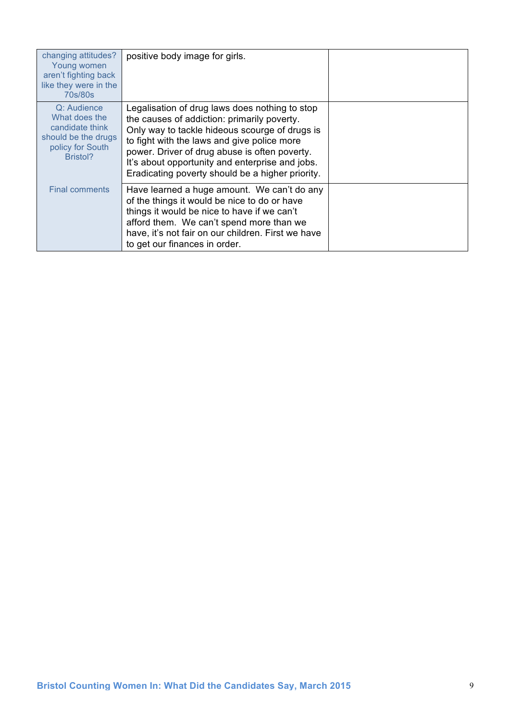| changing attitudes?<br>Young women<br>aren't fighting back<br>like they were in the<br>70s/80s         | positive body image for girls.                                                                                                                                                                                                                                                                                                                         |  |
|--------------------------------------------------------------------------------------------------------|--------------------------------------------------------------------------------------------------------------------------------------------------------------------------------------------------------------------------------------------------------------------------------------------------------------------------------------------------------|--|
| Q: Audience<br>What does the<br>candidate think<br>should be the drugs<br>policy for South<br>Bristol? | Legalisation of drug laws does nothing to stop<br>the causes of addiction: primarily poverty.<br>Only way to tackle hideous scourge of drugs is<br>to fight with the laws and give police more<br>power. Driver of drug abuse is often poverty.<br>It's about opportunity and enterprise and jobs.<br>Eradicating poverty should be a higher priority. |  |
| <b>Final comments</b>                                                                                  | Have learned a huge amount. We can't do any<br>of the things it would be nice to do or have<br>things it would be nice to have if we can't<br>afford them. We can't spend more than we<br>have, it's not fair on our children. First we have<br>to get our finances in order.                                                                          |  |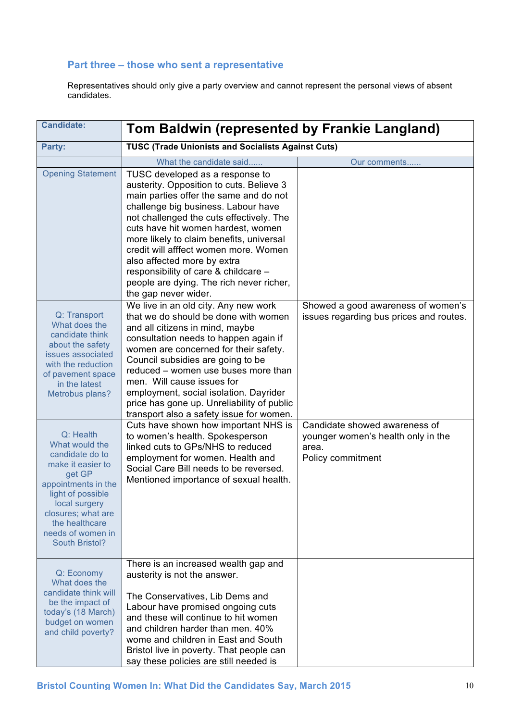# **Part three – those who sent a representative**

Representatives should only give a party overview and cannot represent the personal views of absent candidates.

| <b>Candidate:</b>                                                                                                                                                                                                         | Tom Baldwin (represented by Frankie Langland)                                                                                                                                                                                                                                                                                                                                                                                                                                  |                                                                                                   |
|---------------------------------------------------------------------------------------------------------------------------------------------------------------------------------------------------------------------------|--------------------------------------------------------------------------------------------------------------------------------------------------------------------------------------------------------------------------------------------------------------------------------------------------------------------------------------------------------------------------------------------------------------------------------------------------------------------------------|---------------------------------------------------------------------------------------------------|
| Party:                                                                                                                                                                                                                    | <b>TUSC (Trade Unionists and Socialists Against Cuts)</b>                                                                                                                                                                                                                                                                                                                                                                                                                      |                                                                                                   |
|                                                                                                                                                                                                                           | What the candidate said                                                                                                                                                                                                                                                                                                                                                                                                                                                        | Our comments                                                                                      |
| <b>Opening Statement</b>                                                                                                                                                                                                  | TUSC developed as a response to<br>austerity. Opposition to cuts. Believe 3<br>main parties offer the same and do not<br>challenge big business. Labour have<br>not challenged the cuts effectively. The<br>cuts have hit women hardest, women<br>more likely to claim benefits, universal<br>credit will afffect women more. Women<br>also affected more by extra<br>responsibility of care & childcare -<br>people are dying. The rich never richer,<br>the gap never wider. |                                                                                                   |
| Q: Transport<br>What does the<br>candidate think<br>about the safety<br>issues associated<br>with the reduction<br>of pavement space<br>in the latest<br>Metrobus plans?                                                  | We live in an old city. Any new work<br>that we do should be done with women<br>and all citizens in mind, maybe<br>consultation needs to happen again if<br>women are concerned for their safety.<br>Council subsidies are going to be<br>reduced - women use buses more than<br>men. Will cause issues for<br>employment, social isolation. Dayrider<br>price has gone up. Unreliability of public<br>transport also a safety issue for women.                                | Showed a good awareness of women's<br>issues regarding bus prices and routes.                     |
| Q: Health<br>What would the<br>candidate do to<br>make it easier to<br>get GP<br>appointments in the<br>light of possible<br>local surgery<br>closures; what are<br>the healthcare<br>needs of women in<br>South Bristol? | Cuts have shown how important NHS is<br>to women's health. Spokesperson<br>linked cuts to GPs/NHS to reduced<br>employment for women. Health and<br>Social Care Bill needs to be reversed.<br>Mentioned importance of sexual health.                                                                                                                                                                                                                                           | Candidate showed awareness of<br>younger women's health only in the<br>area.<br>Policy commitment |
| Q: Economy<br>What does the<br>candidate think will<br>be the impact of<br>today's (18 March)<br>budget on women<br>and child poverty?                                                                                    | There is an increased wealth gap and<br>austerity is not the answer.<br>The Conservatives, Lib Dems and<br>Labour have promised ongoing cuts<br>and these will continue to hit women<br>and children harder than men. 40%<br>wome and children in East and South<br>Bristol live in poverty. That people can<br>say these policies are still needed is                                                                                                                         |                                                                                                   |